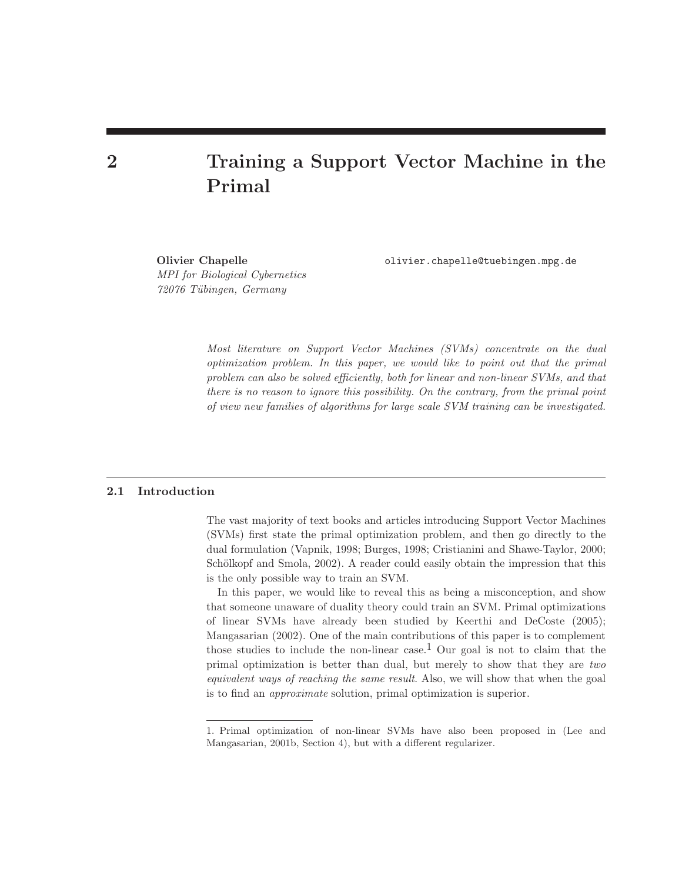# 2 Training a Support Vector Machine in the Primal

MPI for Biological Cybernetics 72076 T¨ubingen, Germany

Olivier Chapelle olivier.chapelle@tuebingen.mpg.de

Most literature on Support Vector Machines (SVMs) concentrate on the dual optimization problem. In this paper, we would like to point out that the primal problem can also be solved efficiently, both for linear and non-linear SVMs, and that there is no reason to ignore this possibility. On the contrary, from the primal point of view new families of algorithms for large scale SVM training can be investigated.

# 2.1 Introduction

The vast majority of text books and articles introducing Support Vector Machines (SVMs) first state the primal optimization problem, and then go directly to the dual formulation (Vapnik, 1998; Burges, 1998; Cristianini and Shawe-Taylor, 2000; Schölkopf and Smola, 2002). A reader could easily obtain the impression that this is the only possible way to train an SVM.

In this paper, we would like to reveal this as being a misconception, and show that someone unaware of duality theory could train an SVM. Primal optimizations of linear SVMs have already been studied by Keerthi and DeCoste (2005); Mangasarian (2002). One of the main contributions of this paper is to complement those studies to include the non-linear case.<sup>1</sup> Our goal is not to claim that the primal optimization is better than dual, but merely to show that they are two equivalent ways of reaching the same result. Also, we will show that when the goal is to find an approximate solution, primal optimization is superior.

<sup>1.</sup> Primal optimization of non-linear SVMs have also been proposed in (Lee and Mangasarian, 2001b, Section 4), but with a different regularizer.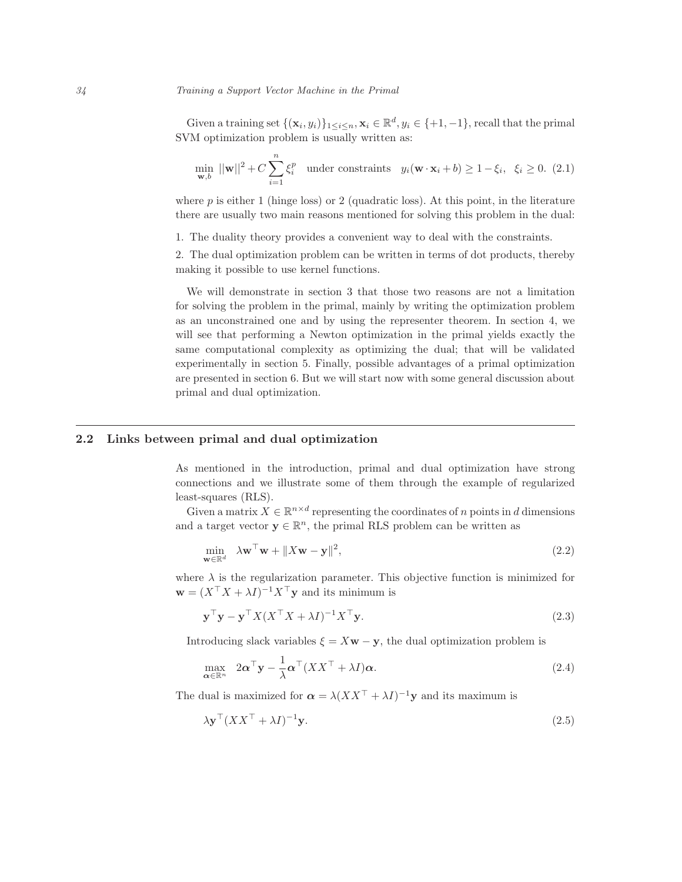Given a training set  $\{(\mathbf{x}_i, y_i)\}_{1 \leq i \leq n}$ ,  $\mathbf{x}_i \in \mathbb{R}^d$ ,  $y_i \in \{+1, -1\}$ , recall that the primal SVM optimization problem is usually written as:

$$
\min_{\mathbf{w},b} \, ||\mathbf{w}||^2 + C \sum_{i=1}^n \xi_i^p \quad \text{under constraints} \quad y_i(\mathbf{w} \cdot \mathbf{x}_i + b) \ge 1 - \xi_i, \ \xi_i \ge 0. \tag{2.1}
$$

where  $p$  is either 1 (hinge loss) or 2 (quadratic loss). At this point, in the literature there are usually two main reasons mentioned for solving this problem in the dual:

1. The duality theory provides a convenient way to deal with the constraints.

2. The dual optimization problem can be written in terms of dot products, thereby making it possible to use kernel functions.

We will demonstrate in section 3 that those two reasons are not a limitation for solving the problem in the primal, mainly by writing the optimization problem as an unconstrained one and by using the representer theorem. In section 4, we will see that performing a Newton optimization in the primal yields exactly the same computational complexity as optimizing the dual; that will be validated experimentally in section 5. Finally, possible advantages of a primal optimization are presented in section 6. But we will start now with some general discussion about primal and dual optimization.

# 2.2 Links between primal and dual optimization

As mentioned in the introduction, primal and dual optimization have strong connections and we illustrate some of them through the example of regularized least-squares (RLS).

Given a matrix  $X \in \mathbb{R}^{n \times d}$  representing the coordinates of n points in d dimensions and a target vector  $\mathbf{y} \in \mathbb{R}^n$ , the primal RLS problem can be written as

$$
\min_{\mathbf{w} \in \mathbb{R}^d} \lambda \mathbf{w}^\top \mathbf{w} + \|X\mathbf{w} - \mathbf{y}\|^2, \tag{2.2}
$$

where  $\lambda$  is the regularization parameter. This objective function is minimized for  $\mathbf{w} = (X^{\top} X + \lambda I)^{-1} X^{\top} \mathbf{y}$  and its minimum is

$$
\mathbf{y}^{\top}\mathbf{y} - \mathbf{y}^{\top}X(X^{\top}X + \lambda I)^{-1}X^{\top}\mathbf{y}.
$$
 (2.3)

Introducing slack variables  $\xi = X\mathbf{w} - \mathbf{y}$ , the dual optimization problem is

$$
\max_{\alpha \in \mathbb{R}^n} \quad 2\alpha^{\top} \mathbf{y} - \frac{1}{\lambda} \alpha^{\top} (XX^{\top} + \lambda I) \alpha. \tag{2.4}
$$

The dual is maximized for  $\alpha = \lambda (XX^{\top} + \lambda I)^{-1}y$  and its maximum is

$$
\lambda \mathbf{y}^{\top} (XX^{\top} + \lambda I)^{-1} \mathbf{y}.\tag{2.5}
$$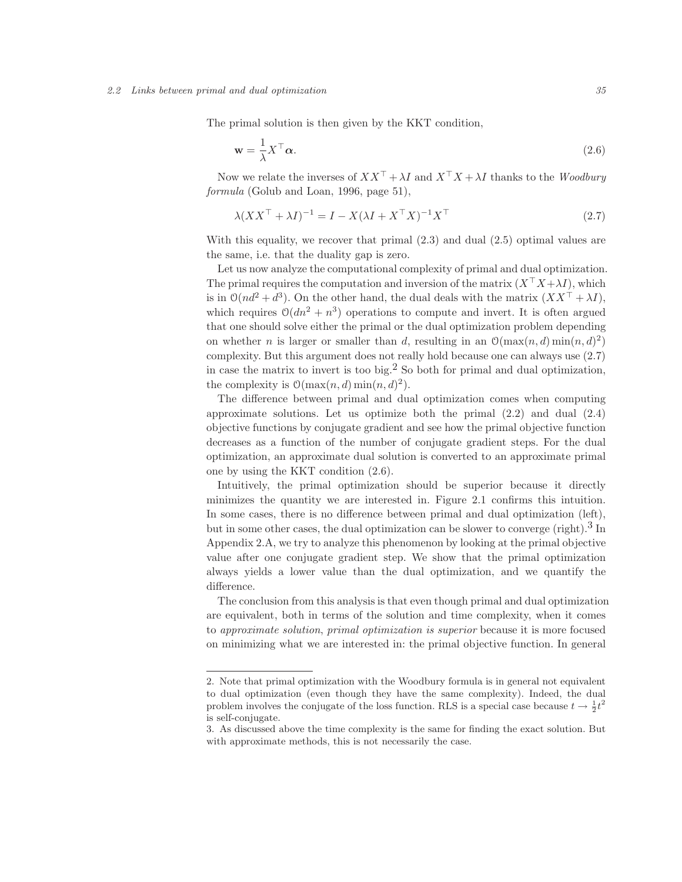#### 2.2 Links between primal and dual optimization 35

The primal solution is then given by the KKT condition,

$$
\mathbf{w} = \frac{1}{\lambda} X^{\top} \boldsymbol{\alpha}.
$$
 (2.6)

Now we relate the inverses of  $XX^{\top} + \lambda I$  and  $X^{\top}X + \lambda I$  thanks to the Woodbury formula (Golub and Loan, 1996, page 51),

$$
\lambda (XX^\top + \lambda I)^{-1} = I - X(\lambda I + X^\top X)^{-1} X^\top \tag{2.7}
$$

With this equality, we recover that primal (2.3) and dual (2.5) optimal values are the same, i.e. that the duality gap is zero.

Let us now analyze the computational complexity of primal and dual optimization. The primal requires the computation and inversion of the matrix  $(X<sup>T</sup> X + \lambda I)$ , which is in  $\mathcal{O}(nd^2 + d^3)$ . On the other hand, the dual deals with the matrix  $(XX^{\top} + \lambda I)$ , which requires  $\mathcal{O}(dn^2 + n^3)$  operations to compute and invert. It is often argued that one should solve either the primal or the dual optimization problem depending on whether *n* is larger or smaller than *d*, resulting in an  $\mathcal{O}(\max(n, d) \min(n, d)^2)$ complexity. But this argument does not really hold because one can always use (2.7) in case the matrix to invert is too big.<sup>2</sup> So both for primal and dual optimization, the complexity is  $\mathcal{O}(\max(n, d) \min(n, d)^2)$ .

The difference between primal and dual optimization comes when computing approximate solutions. Let us optimize both the primal (2.2) and dual (2.4) objective functions by conjugate gradient and see how the primal objective function decreases as a function of the number of conjugate gradient steps. For the dual optimization, an approximate dual solution is converted to an approximate primal one by using the KKT condition (2.6).

Intuitively, the primal optimization should be superior because it directly minimizes the quantity we are interested in. Figure 2.1 confirms this intuition. In some cases, there is no difference between primal and dual optimization (left), but in some other cases, the dual optimization can be slower to converge (right).<sup>3</sup> In Appendix 2.A, we try to analyze this phenomenon by looking at the primal objective value after one conjugate gradient step. We show that the primal optimization always yields a lower value than the dual optimization, and we quantify the difference.

The conclusion from this analysis is that even though primal and dual optimization are equivalent, both in terms of the solution and time complexity, when it comes to approximate solution, primal optimization is superior because it is more focused on minimizing what we are interested in: the primal objective function. In general

<sup>2.</sup> Note that primal optimization with the Woodbury formula is in general not equivalent to dual optimization (even though they have the same complexity). Indeed, the dual problem involves the conjugate of the loss function. RLS is a special case because  $t \to \frac{1}{2}t^2$ is self-conjugate.

<sup>3.</sup> As discussed above the time complexity is the same for finding the exact solution. But with approximate methods, this is not necessarily the case.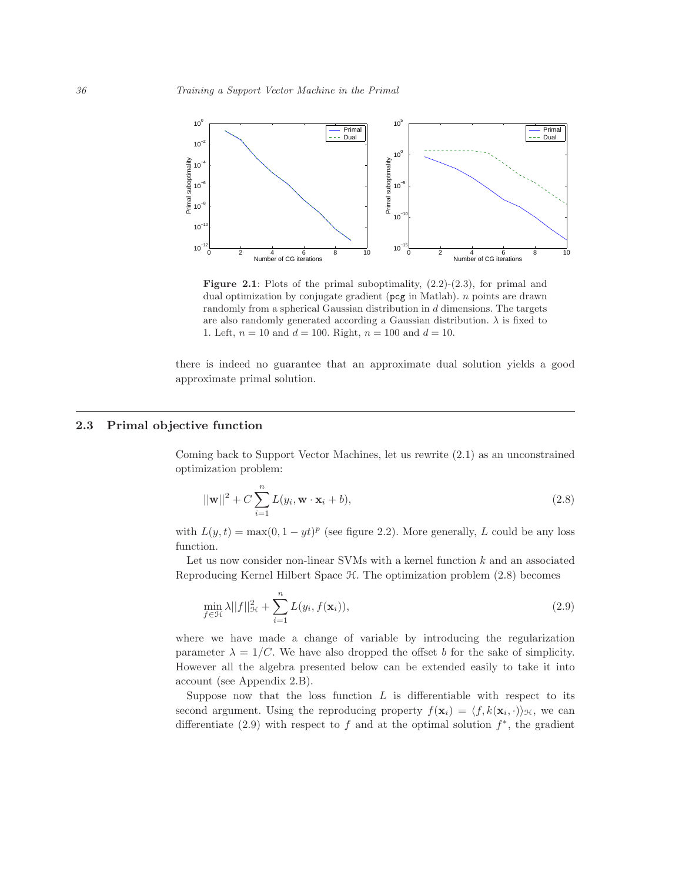

**Figure 2.1:** Plots of the primal suboptimality,  $(2.2)-(2.3)$ , for primal and dual optimization by conjugate gradient ( $\mathsf{pcg}$  in Matlab). *n* points are drawn randomly from a spherical Gaussian distribution in d dimensions. The targets are also randomly generated according a Gaussian distribution.  $\lambda$  is fixed to 1. Left,  $n = 10$  and  $d = 100$ . Right,  $n = 100$  and  $d = 10$ .

there is indeed no guarantee that an approximate dual solution yields a good approximate primal solution.

## 2.3 Primal objective function

Coming back to Support Vector Machines, let us rewrite (2.1) as an unconstrained optimization problem:

$$
||\mathbf{w}||^2 + C \sum_{i=1}^{n} L(y_i, \mathbf{w} \cdot \mathbf{x}_i + b), \qquad (2.8)
$$

with  $L(y, t) = \max(0, 1 - yt)^p$  (see figure 2.2). More generally, L could be any loss function.

Let us now consider non-linear SVMs with a kernel function k and an associated Reproducing Kernel Hilbert Space H. The optimization problem (2.8) becomes

$$
\min_{f \in \mathcal{H}} \lambda ||f||_{\mathcal{H}}^2 + \sum_{i=1}^n L(y_i, f(\mathbf{x}_i)),
$$
\n(2.9)

where we have made a change of variable by introducing the regularization parameter  $\lambda = 1/C$ . We have also dropped the offset b for the sake of simplicity. However all the algebra presented below can be extended easily to take it into account (see Appendix 2.B).

Suppose now that the loss function  $L$  is differentiable with respect to its second argument. Using the reproducing property  $f(\mathbf{x}_i) = \langle f, k(\mathbf{x}_i, \cdot) \rangle_{\mathcal{H}}$ , we can differentiate  $(2.9)$  with respect to f and at the optimal solution  $f^*$ , the gradient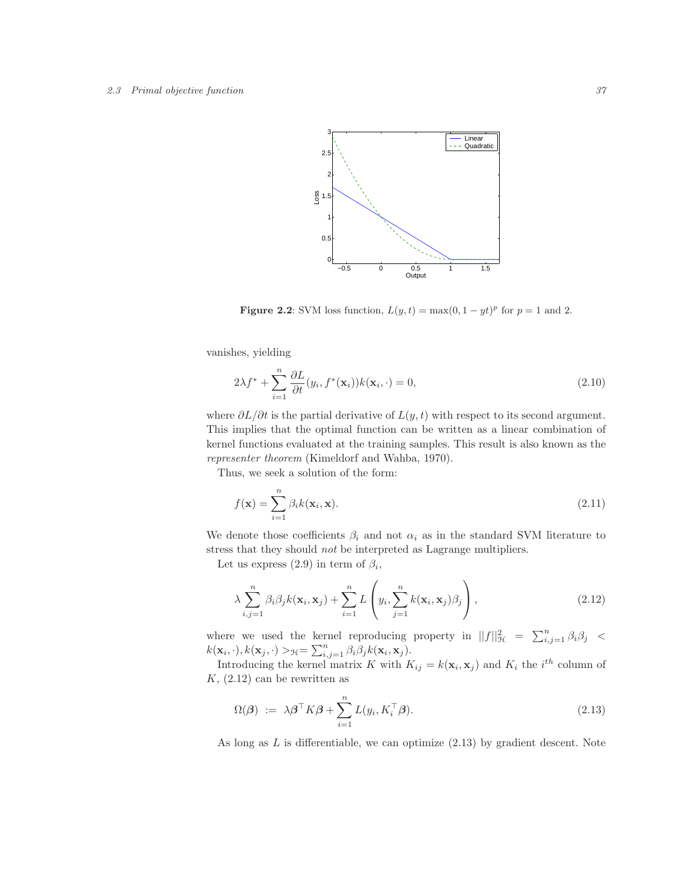

Figure 2.2: SVM loss function,  $L(y,t) = \max(0, 1 - yt)^p$  for  $p = 1$  and 2.

vanishes, yielding

$$
2\lambda f^* + \sum_{i=1}^n \frac{\partial L}{\partial t}(y_i, f^*(\mathbf{x}_i))k(\mathbf{x}_i, \cdot) = 0,
$$
\n(2.10)

where  $\partial L/\partial t$  is the partial derivative of  $L(y, t)$  with respect to its second argument. This implies that the optimal function can be written as a linear combination of kernel functions evaluated at the training samples. This result is also known as the representer theorem (Kimeldorf and Wahba, 1970).

Thus, we seek a solution of the form:

$$
f(\mathbf{x}) = \sum_{i=1}^{n} \beta_i k(\mathbf{x}_i, \mathbf{x}).
$$
\n(2.11)

We denote those coefficients  $\beta_i$  and not  $\alpha_i$  as in the standard SVM literature to stress that they should not be interpreted as Lagrange multipliers.

Let us express  $(2.9)$  in term of  $\beta_i$ ,

$$
\lambda \sum_{i,j=1}^{n} \beta_i \beta_j k(\mathbf{x}_i, \mathbf{x}_j) + \sum_{i=1}^{n} L\left(y_i, \sum_{j=1}^{n} k(\mathbf{x}_i, \mathbf{x}_j) \beta_j\right), \qquad (2.12)
$$

where we used the kernel reproducing property in  $||f||_{\mathcal{H}}^2 = \sum_{i,j=1}^n \beta_i \beta_j$  $k(\mathbf{x}_i, \cdot), k(\mathbf{x}_j, \cdot) >_{\mathcal{H}} = \sum_{i,j=1}^n \beta_i \beta_j k(\mathbf{x}_i, \mathbf{x}_j).$ 

Introducing the kernel matrix K with  $K_{ij} = k(\mathbf{x}_i, \mathbf{x}_j)$  and  $K_i$  the  $i^{th}$  column of  $K$ ,  $(2.12)$  can be rewritten as

$$
\Omega(\boldsymbol{\beta}) := \lambda \boldsymbol{\beta}^{\top} K \boldsymbol{\beta} + \sum_{i=1}^{n} L(y_i, K_i^{\top} \boldsymbol{\beta}). \tag{2.13}
$$

As long as  $L$  is differentiable, we can optimize  $(2.13)$  by gradient descent. Note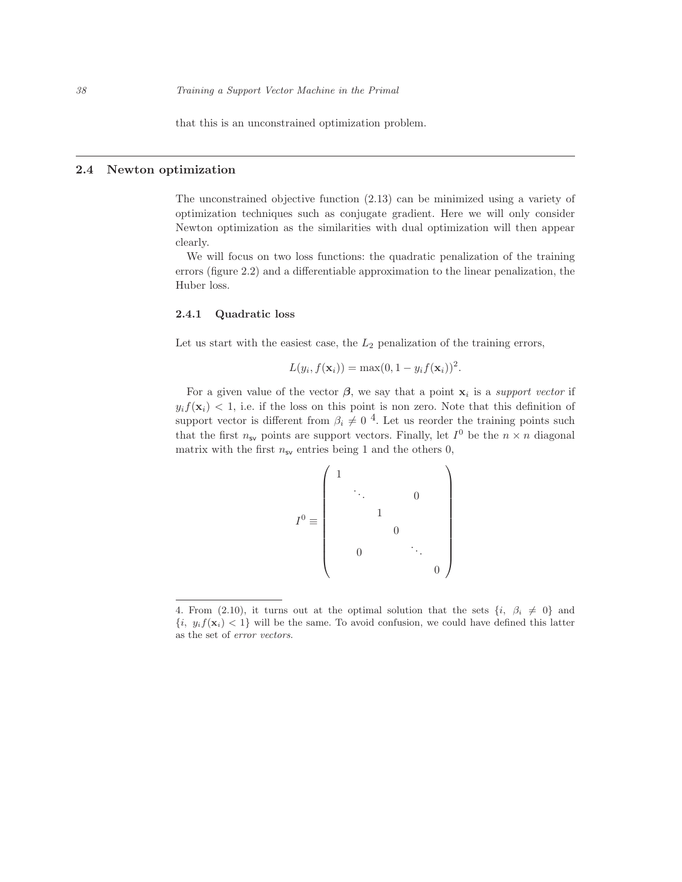that this is an unconstrained optimization problem.

## 2.4 Newton optimization

The unconstrained objective function (2.13) can be minimized using a variety of optimization techniques such as conjugate gradient. Here we will only consider Newton optimization as the similarities with dual optimization will then appear clearly.

We will focus on two loss functions: the quadratic penalization of the training errors (figure 2.2) and a differentiable approximation to the linear penalization, the Huber loss.

## 2.4.1 Quadratic loss

Let us start with the easiest case, the  $L_2$  penalization of the training errors,

$$
L(y_i, f(\mathbf{x}_i)) = \max(0, 1 - y_i f(\mathbf{x}_i))^2.
$$

For a given value of the vector  $\beta$ , we say that a point  $x_i$  is a *support vector* if  $y_i f(\mathbf{x}_i) < 1$ , i.e. if the loss on this point is non zero. Note that this definition of support vector is different from  $\beta_i \neq 0$ <sup>4</sup>. Let us reorder the training points such that the first  $n_{\mathsf{sv}}$  points are support vectors. Finally, let  $I^0$  be the  $n \times n$  diagonal matrix with the first  $n_{sv}$  entries being 1 and the others 0,

I <sup>0</sup> <sup>≡</sup> 1 . . . 0 1 0 0 . . . 0 

<sup>4.</sup> From (2.10), it turns out at the optimal solution that the sets  $\{i, \beta_i \neq 0\}$  and  ${i, y_i f(\mathbf{x}_i) < 1}$  will be the same. To avoid confusion, we could have defined this latter as the set of error vectors.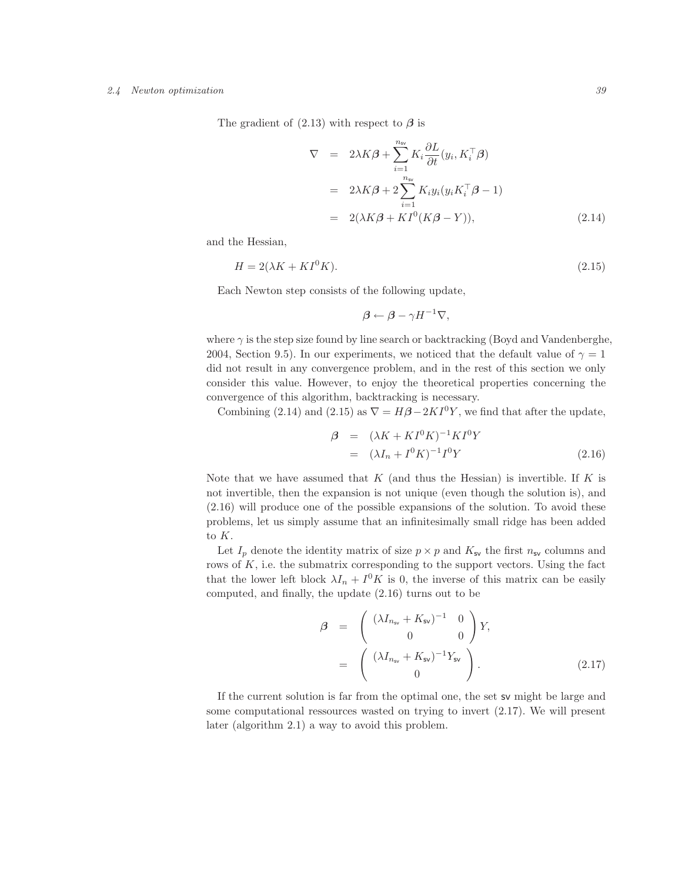#### 2.4 Newton optimization 39

The gradient of  $(2.13)$  with respect to  $\beta$  is

$$
\nabla = 2\lambda K \beta + \sum_{i=1}^{n_{\rm sv}} K_i \frac{\partial L}{\partial t} (y_i, K_i^{\top} \beta)
$$
  
= 
$$
2\lambda K \beta + 2 \sum_{i=1}^{n_{\rm sv}} K_i y_i (y_i K_i^{\top} \beta - 1)
$$
  
= 
$$
2(\lambda K \beta + K I^0 (K \beta - Y)),
$$
 (2.14)

and the Hessian,

$$
H = 2(\lambda K + K I^0 K). \tag{2.15}
$$

Each Newton step consists of the following update,

$$
\beta \leftarrow \beta - \gamma H^{-1} \nabla,
$$

where  $\gamma$  is the step size found by line search or backtracking (Boyd and Vandenberghe, 2004, Section 9.5). In our experiments, we noticed that the default value of  $\gamma = 1$ did not result in any convergence problem, and in the rest of this section we only consider this value. However, to enjoy the theoretical properties concerning the convergence of this algorithm, backtracking is necessary.

Combining (2.14) and (2.15) as  $\nabla = H\beta - 2KI^0Y$ , we find that after the update,

$$
\begin{array}{rcl} \mathcal{B} & = & (\lambda K + K I^0 K)^{-1} K I^0 Y \\ & = & (\lambda I_n + I^0 K)^{-1} I^0 Y \end{array} \tag{2.16}
$$

Note that we have assumed that  $K$  (and thus the Hessian) is invertible. If  $K$  is not invertible, then the expansion is not unique (even though the solution is), and (2.16) will produce one of the possible expansions of the solution. To avoid these problems, let us simply assume that an infinitesimally small ridge has been added to K.

Let  $I_p$  denote the identity matrix of size  $p \times p$  and  $K_{\mathsf{sv}}$  the first  $n_{\mathsf{sv}}$  columns and rows of  $K$ , i.e. the submatrix corresponding to the support vectors. Using the fact that the lower left block  $\lambda I_n + I^0 K$  is 0, the inverse of this matrix can be easily computed, and finally, the update (2.16) turns out to be

$$
\begin{array}{rcl}\n\beta & = & \left( \begin{array}{cc} (\lambda I_{n_{\rm sv}} + K_{\rm sv})^{-1} & 0 \\ 0 & 0 \end{array} \right) Y, \\
& = & \left( \begin{array}{c} (\lambda I_{n_{\rm sv}} + K_{\rm sv})^{-1} Y_{\rm sv} \\ 0 \end{array} \right). \tag{2.17}\n\end{array}
$$

If the current solution is far from the optimal one, the set sv might be large and some computational ressources wasted on trying to invert (2.17). We will present later (algorithm 2.1) a way to avoid this problem.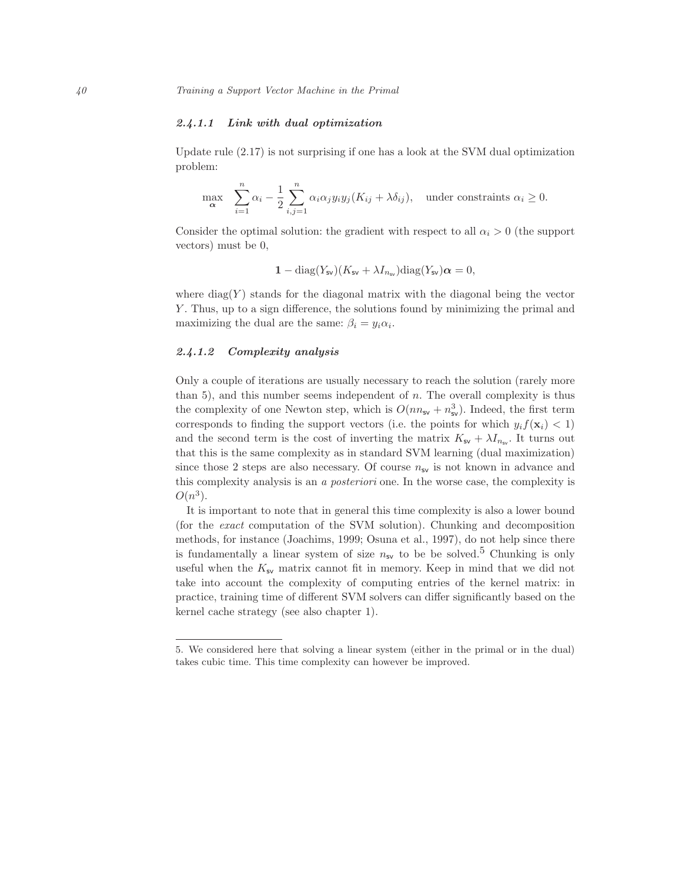## 2.4.1.1 Link with dual optimization

Update rule (2.17) is not surprising if one has a look at the SVM dual optimization problem:

$$
\max_{\alpha} \sum_{i=1}^{n} \alpha_i - \frac{1}{2} \sum_{i,j=1}^{n} \alpha_i \alpha_j y_i y_j (K_{ij} + \lambda \delta_{ij}), \text{ under constraints } \alpha_i \ge 0.
$$

Consider the optimal solution: the gradient with respect to all  $\alpha_i > 0$  (the support vectors) must be 0,

$$
1 - \text{diag}(Y_{\text{sv}})(K_{\text{sv}} + \lambda I_{n_{\text{sv}}})\text{diag}(Y_{\text{sv}})\alpha = 0,
$$

where  $\text{diag}(Y)$  stands for the diagonal matrix with the diagonal being the vector Y . Thus, up to a sign difference, the solutions found by minimizing the primal and maximizing the dual are the same:  $\beta_i = y_i \alpha_i$ .

#### 2.4.1.2 Complexity analysis

Only a couple of iterations are usually necessary to reach the solution (rarely more than 5), and this number seems independent of  $n$ . The overall complexity is thus the complexity of one Newton step, which is  $O(nn_{sv} + n_{sv}^3)$ . Indeed, the first term corresponds to finding the support vectors (i.e. the points for which  $y_i f(\mathbf{x}_i) < 1$ ) and the second term is the cost of inverting the matrix  $K_{\mathsf{sv}} + \lambda I_{n_{\mathsf{sv}}}$ . It turns out that this is the same complexity as in standard SVM learning (dual maximization) since those 2 steps are also necessary. Of course  $n_{sv}$  is not known in advance and this complexity analysis is an a posteriori one. In the worse case, the complexity is  $O(n^3)$ .

It is important to note that in general this time complexity is also a lower bound (for the exact computation of the SVM solution). Chunking and decomposition methods, for instance (Joachims, 1999; Osuna et al., 1997), do not help since there is fundamentally a linear system of size  $n_{sv}$  to be be solved.<sup>5</sup> Chunking is only useful when the  $K_{\mathsf{sv}}$  matrix cannot fit in memory. Keep in mind that we did not take into account the complexity of computing entries of the kernel matrix: in practice, training time of different SVM solvers can differ significantly based on the kernel cache strategy (see also chapter 1).

<sup>5.</sup> We considered here that solving a linear system (either in the primal or in the dual) takes cubic time. This time complexity can however be improved.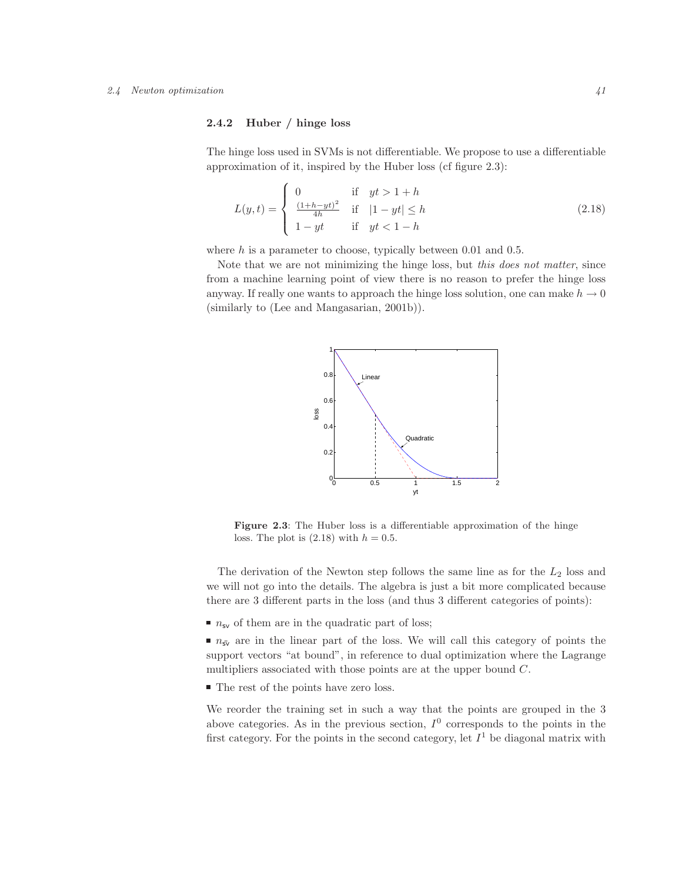#### 2.4 Newton optimization  $41$

## 2.4.2 Huber / hinge loss

The hinge loss used in SVMs is not differentiable. We propose to use a differentiable approximation of it, inspired by the Huber loss (cf figure 2.3):

$$
L(y,t) = \begin{cases} 0 & \text{if } yt > 1+h \\ \frac{(1+h-yt)^2}{4h} & \text{if } |1-yt| \le h \\ 1-yt & \text{if } yt < 1-h \end{cases}
$$
 (2.18)

where  $h$  is a parameter to choose, typically between 0.01 and 0.5.

Note that we are not minimizing the hinge loss, but this does not matter, since from a machine learning point of view there is no reason to prefer the hinge loss anyway. If really one wants to approach the hinge loss solution, one can make  $h \to 0$ (similarly to (Lee and Mangasarian, 2001b)).



Figure 2.3: The Huber loss is a differentiable approximation of the hinge loss. The plot is  $(2.18)$  with  $h = 0.5$ .

The derivation of the Newton step follows the same line as for the  $L_2$  loss and we will not go into the details. The algebra is just a bit more complicated because there are 3 different parts in the loss (and thus 3 different categories of points):

 $\blacksquare$   $n_{\text{sv}}$  of them are in the quadratic part of loss;

 $n_{sv}$  are in the linear part of the loss. We will call this category of points the support vectors "at bound", in reference to dual optimization where the Lagrange multipliers associated with those points are at the upper bound C.

 $\blacksquare$  The rest of the points have zero loss.

We reorder the training set in such a way that the points are grouped in the 3 above categories. As in the previous section,  $I^0$  corresponds to the points in the first category. For the points in the second category, let  $I<sup>1</sup>$  be diagonal matrix with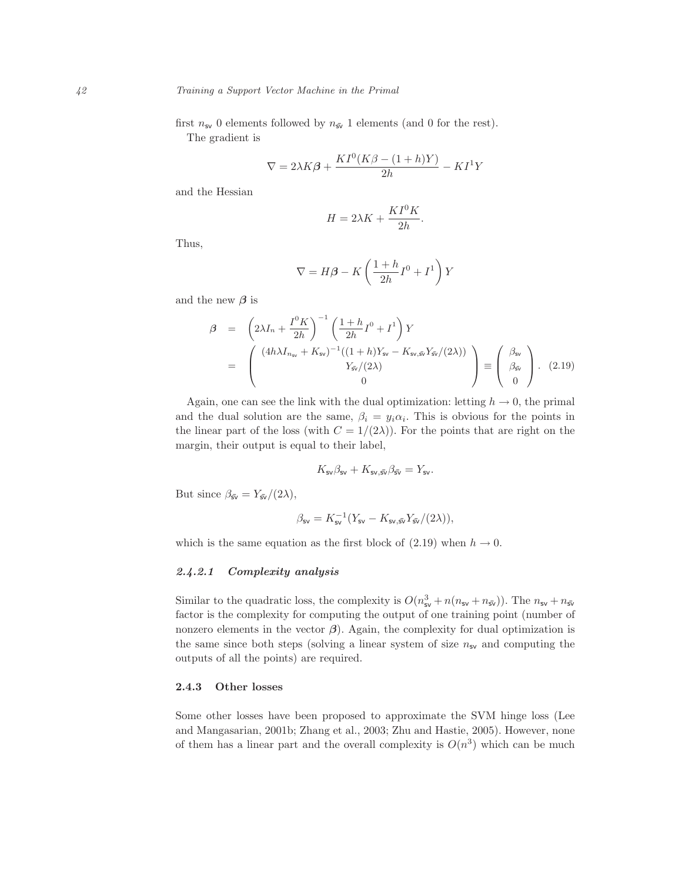first  $n_{sv}$  0 elements followed by  $n_{sv}$  1 elements (and 0 for the rest). The gradient is

$$
\nabla = 2\lambda K\beta + \frac{KI^0(K\beta - (1+h)Y)}{2h} - K I^1 Y
$$

and the Hessian

$$
H = 2\lambda K + \frac{KI^0 K}{2h}.
$$

Thus,

$$
\nabla = H\beta - K\left(\frac{1+h}{2h}I^0 + I^1\right)Y
$$

and the new  $\beta$  is

$$
\beta = \left(2\lambda I_n + \frac{I^0 K}{2h}\right)^{-1} \left(\frac{1+h}{2h}I^0 + I^1\right)Y
$$
  
= 
$$
\left(\begin{array}{c} (4h\lambda I_{n_{\rm sv}} + K_{\rm sv})^{-1}((1+h)Y_{\rm sv} - K_{\rm sv,s\bar{v}}Y_{\rm sv}/(2\lambda))\\ Y_{\rm sv}/(2\lambda)\\ 0 \end{array}\right) \equiv \left(\begin{array}{c} \beta_{\rm sv} \\ \beta_{\rm sv} \\ 0 \end{array}\right).
$$
 (2.19)

Again, one can see the link with the dual optimization: letting  $h \to 0$ , the primal and the dual solution are the same,  $\beta_i = y_i \alpha_i$ . This is obvious for the points in the linear part of the loss (with  $C = 1/(2\lambda)$ ). For the points that are right on the margin, their output is equal to their label,

$$
K_{\mathsf{sv}}\beta_{\mathsf{sv}} + K_{\mathsf{sv},\bar{\mathsf{sv}}}\beta_{\bar{\mathsf{sv}}} = Y_{\mathsf{sv}}.
$$

But since  $\beta_{\bar{sv}} = Y_{\bar{sv}}/(2\lambda)$ ,

$$
\beta_{\rm sv} = K_{\rm sv}^{-1} \big( Y_{\rm sv} - K_{\rm sv, \bar{sv}} Y_{\bar{\rm sv}} \big/ (2 \lambda) \big),
$$

which is the same equation as the first block of (2.19) when  $h \to 0$ .

## 2.4.2.1 Complexity analysis

Similar to the quadratic loss, the complexity is  $O(n_{\text{sv}}^3 + n(n_{\text{sv}} + n_{\text{sv}}))$ . The  $n_{\text{sv}} + n_{\text{sv}}$ factor is the complexity for computing the output of one training point (number of nonzero elements in the vector  $\beta$ ). Again, the complexity for dual optimization is the same since both steps (solving a linear system of size  $n_{\rm sv}$  and computing the outputs of all the points) are required.

## 2.4.3 Other losses

Some other losses have been proposed to approximate the SVM hinge loss (Lee and Mangasarian, 2001b; Zhang et al., 2003; Zhu and Hastie, 2005). However, none of them has a linear part and the overall complexity is  $O(n^3)$  which can be much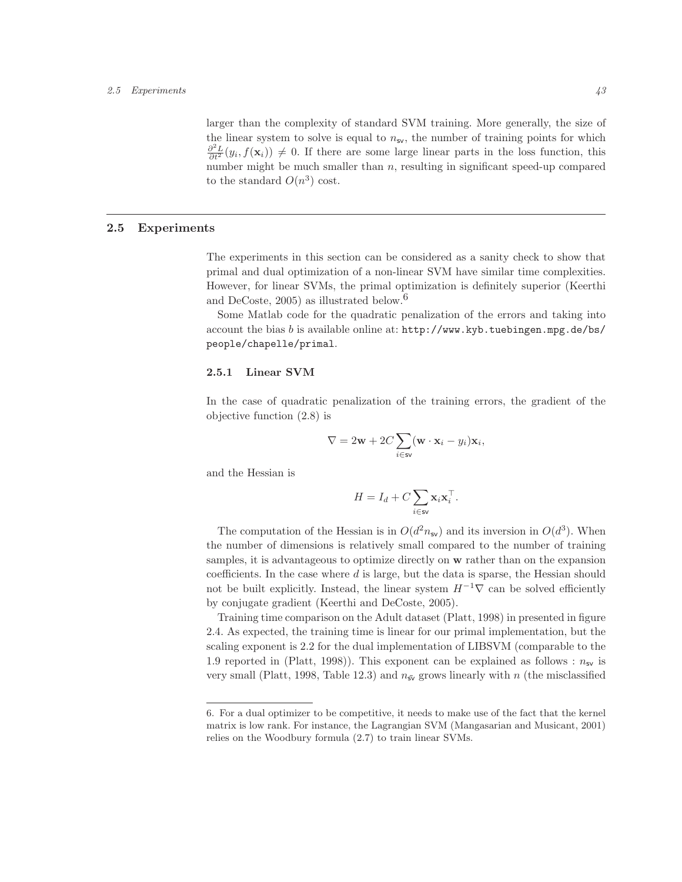#### 2.5 Experiments 43

larger than the complexity of standard SVM training. More generally, the size of the linear system to solve is equal to  $n_{sv}$ , the number of training points for which  $\frac{\partial^2 L}{\partial t^2}(y_i, f(\mathbf{x}_i)) \neq 0$ . If there are some large linear parts in the loss function, this number might be much smaller than  $n$ , resulting in significant speed-up compared to the standard  $O(n^3)$  cost.

# 2.5 Experiments

The experiments in this section can be considered as a sanity check to show that primal and dual optimization of a non-linear SVM have similar time complexities. However, for linear SVMs, the primal optimization is definitely superior (Keerthi and DeCoste,  $2005$ ) as illustrated below.<sup>6</sup>

Some Matlab code for the quadratic penalization of the errors and taking into account the bias b is available online at: http://www.kyb.tuebingen.mpg.de/bs/ people/chapelle/primal.

#### 2.5.1 Linear SVM

In the case of quadratic penalization of the training errors, the gradient of the objective function (2.8) is

$$
\nabla = 2\mathbf{w} + 2C \sum_{i \in \mathbf{sv}} (\mathbf{w} \cdot \mathbf{x}_i - y_i) \mathbf{x}_i,
$$

and the Hessian is

$$
H = I_d + C \sum_{i \in \mathsf{sv}} \mathbf{x}_i \mathbf{x}_i^\top.
$$

The computation of the Hessian is in  $O(d^2 n_{sv})$  and its inversion in  $O(d^3)$ . When the number of dimensions is relatively small compared to the number of training samples, it is advantageous to optimize directly on w rather than on the expansion coefficients. In the case where d is large, but the data is sparse, the Hessian should not be built explicitly. Instead, the linear system  $H^{-1}\nabla$  can be solved efficiently by conjugate gradient (Keerthi and DeCoste, 2005).

Training time comparison on the Adult dataset (Platt, 1998) in presented in figure 2.4. As expected, the training time is linear for our primal implementation, but the scaling exponent is 2.2 for the dual implementation of LIBSVM (comparable to the 1.9 reported in (Platt, 1998)). This exponent can be explained as follows :  $n_{\rm sv}$  is very small (Platt, 1998, Table 12.3) and  $n_{\bar{s}v}$  grows linearly with n (the misclassified

<sup>6.</sup> For a dual optimizer to be competitive, it needs to make use of the fact that the kernel matrix is low rank. For instance, the Lagrangian SVM (Mangasarian and Musicant, 2001) relies on the Woodbury formula (2.7) to train linear SVMs.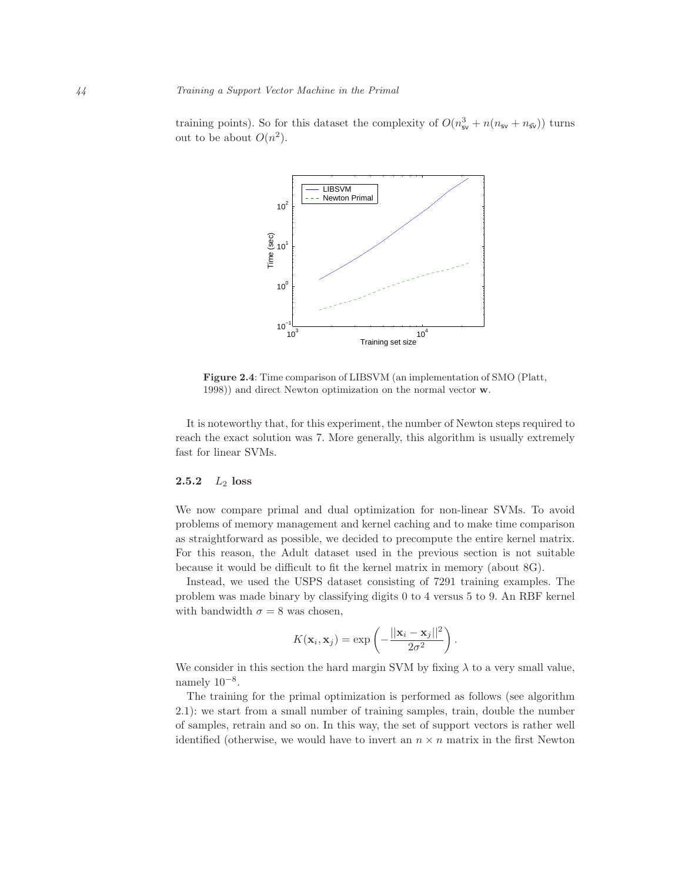training points). So for this dataset the complexity of  $O(n_{\rm sv}^3 + n(n_{\rm sv} + n_{\rm sv}))$  turns out to be about  $O(n^2)$ .



Figure 2.4: Time comparison of LIBSVM (an implementation of SMO (Platt, 1998)) and direct Newton optimization on the normal vector w.

It is noteworthy that, for this experiment, the number of Newton steps required to reach the exact solution was 7. More generally, this algorithm is usually extremely fast for linear SVMs.

## 2.5.2  $L_2$  loss

We now compare primal and dual optimization for non-linear SVMs. To avoid problems of memory management and kernel caching and to make time comparison as straightforward as possible, we decided to precompute the entire kernel matrix. For this reason, the Adult dataset used in the previous section is not suitable because it would be difficult to fit the kernel matrix in memory (about 8G).

Instead, we used the USPS dataset consisting of 7291 training examples. The problem was made binary by classifying digits 0 to 4 versus 5 to 9. An RBF kernel with bandwidth  $\sigma = 8$  was chosen,

$$
K(\mathbf{x}_i, \mathbf{x}_j) = \exp\left(-\frac{||\mathbf{x}_i - \mathbf{x}_j||^2}{2\sigma^2}\right)
$$

.

We consider in this section the hard margin SVM by fixing  $\lambda$  to a very small value, namely  $10^{-8}$ .

The training for the primal optimization is performed as follows (see algorithm 2.1): we start from a small number of training samples, train, double the number of samples, retrain and so on. In this way, the set of support vectors is rather well identified (otherwise, we would have to invert an  $n \times n$  matrix in the first Newton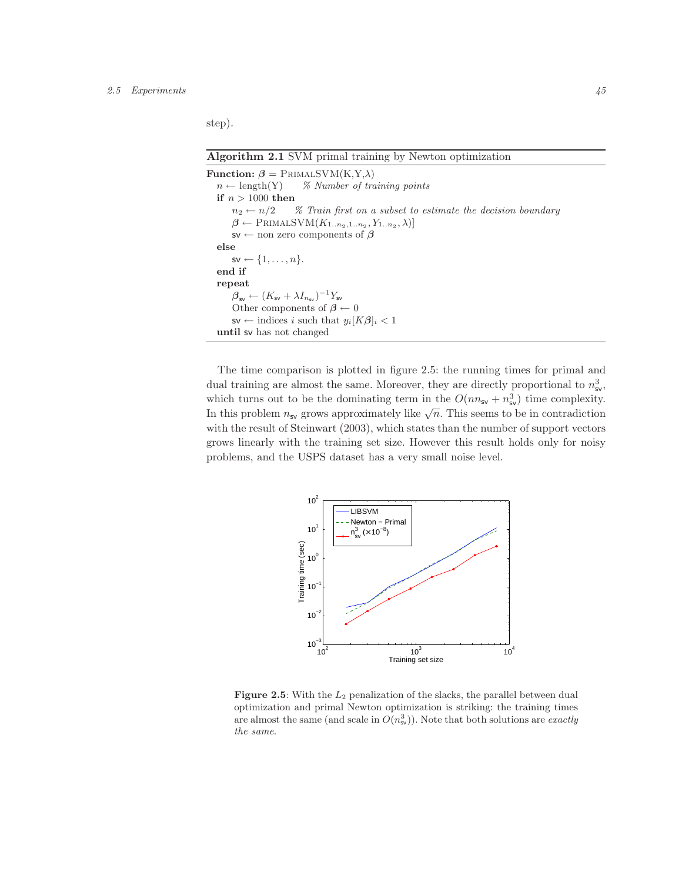#### 2.5 Experiments  $45$

step).

Algorithm 2.1 SVM primal training by Newton optimization

```
Function: \beta = PRIMALSVM(K,Y,\lambda)
  n \leftarrow \text{length}(Y) % Number of training points
  if n > 1000 then
        n_2 \leftarrow n/2 % Train first on a subset to estimate the decision boundary
        \beta \leftarrow \text{PRIMALSVM}(K_{1..n_2,1..n_2}, Y_{1..n_2}, \lambda)]s\mathsf{v} \leftarrow non zero components of \betaelse
        s_v \leftarrow \{1, \ldots, n\}.end if
  repeat
        \beta_{\text{sv}} \leftarrow (K_{\text{sv}} + \lambda I_{n_{\text{sv}}})^{-1} Y_{\text{sv}}Other components of \beta \leftarrow 0s\mathsf{v} \leftarrow indices i such that y_i[K\beta]_i < 1until sv has not changed
```
The time comparison is plotted in figure 2.5: the running times for primal and dual training are almost the same. Moreover, they are directly proportional to  $n_{\rm sv}^3$ , which turns out to be the dominating term in the  $O(nn_{sv} + n_{sv}^3)$  time complexity. In this problem  $n_{\mathsf{sv}}$  grows approximately like  $\sqrt{n}$ . This seems to be in contradiction with the result of Steinwart (2003), which states than the number of support vectors grows linearly with the training set size. However this result holds only for noisy problems, and the USPS dataset has a very small noise level.



Figure 2.5: With the  $L_2$  penalization of the slacks, the parallel between dual optimization and primal Newton optimization is striking: the training times are almost the same (and scale in  $O(n_{\rm sv}^3)$ ). Note that both solutions are *exactly* the same.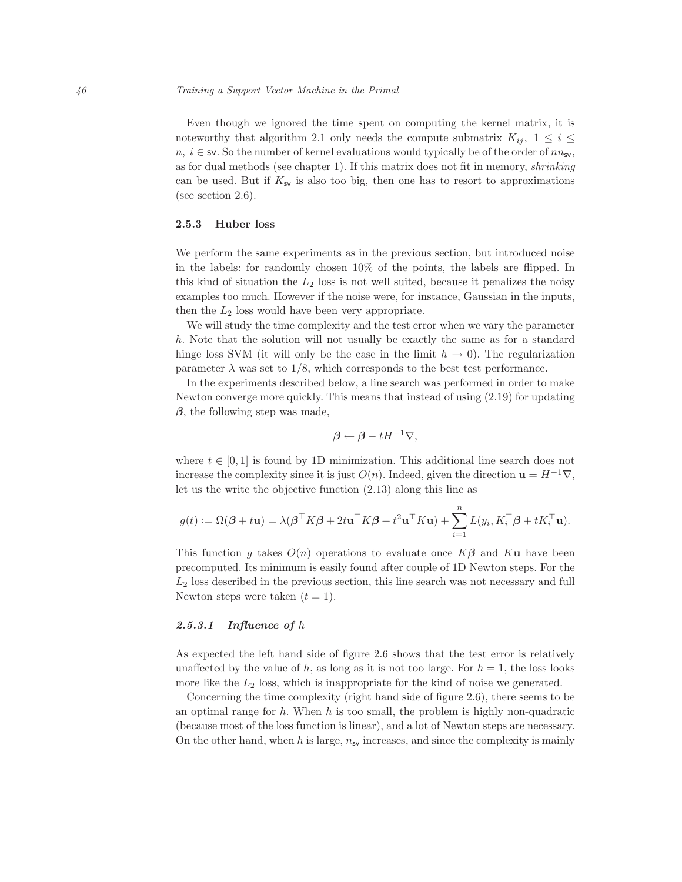Even though we ignored the time spent on computing the kernel matrix, it is noteworthy that algorithm 2.1 only needs the compute submatrix  $K_{ij}$ ,  $1 \leq i \leq j$  $n, i \in \mathsf{sv}$ . So the number of kernel evaluations would typically be of the order of  $nn_{\mathsf{sv}}$ , as for dual methods (see chapter 1). If this matrix does not fit in memory, shrinking can be used. But if  $K_{\rm sv}$  is also too big, then one has to resort to approximations (see section 2.6).

## 2.5.3 Huber loss

We perform the same experiments as in the previous section, but introduced noise in the labels: for randomly chosen 10% of the points, the labels are flipped. In this kind of situation the  $L_2$  loss is not well suited, because it penalizes the noisy examples too much. However if the noise were, for instance, Gaussian in the inputs, then the  $L_2$  loss would have been very appropriate.

We will study the time complexity and the test error when we vary the parameter h. Note that the solution will not usually be exactly the same as for a standard hinge loss SVM (it will only be the case in the limit  $h \to 0$ ). The regularization parameter  $\lambda$  was set to 1/8, which corresponds to the best test performance.

In the experiments described below, a line search was performed in order to make Newton converge more quickly. This means that instead of using (2.19) for updating  $\beta$ , the following step was made,

$$
\beta \leftarrow \beta - tH^{-1}\nabla,
$$

where  $t \in [0, 1]$  is found by 1D minimization. This additional line search does not increase the complexity since it is just  $O(n)$ . Indeed, given the direction  $\mathbf{u} = H^{-1}\nabla$ , let us the write the objective function (2.13) along this line as

$$
g(t) := \Omega(\boldsymbol{\beta} + t\mathbf{u}) = \lambda(\boldsymbol{\beta}^\top K \boldsymbol{\beta} + 2t\mathbf{u}^\top K \boldsymbol{\beta} + t^2\mathbf{u}^\top K \mathbf{u}) + \sum_{i=1}^n L(y_i, K_i^\top \boldsymbol{\beta} + tK_i^\top \mathbf{u}).
$$

This function q takes  $O(n)$  operations to evaluate once  $K\beta$  and  $K\mathbf{u}$  have been precomputed. Its minimum is easily found after couple of 1D Newton steps. For the  $L<sub>2</sub>$  loss described in the previous section, this line search was not necessary and full Newton steps were taken  $(t = 1)$ .

## 2.5.3.1 Influence of  $h$

As expected the left hand side of figure 2.6 shows that the test error is relatively unaffected by the value of h, as long as it is not too large. For  $h = 1$ , the loss looks more like the  $L_2$  loss, which is inappropriate for the kind of noise we generated.

Concerning the time complexity (right hand side of figure 2.6), there seems to be an optimal range for  $h$ . When  $h$  is too small, the problem is highly non-quadratic (because most of the loss function is linear), and a lot of Newton steps are necessary. On the other hand, when h is large,  $n_{sv}$  increases, and since the complexity is mainly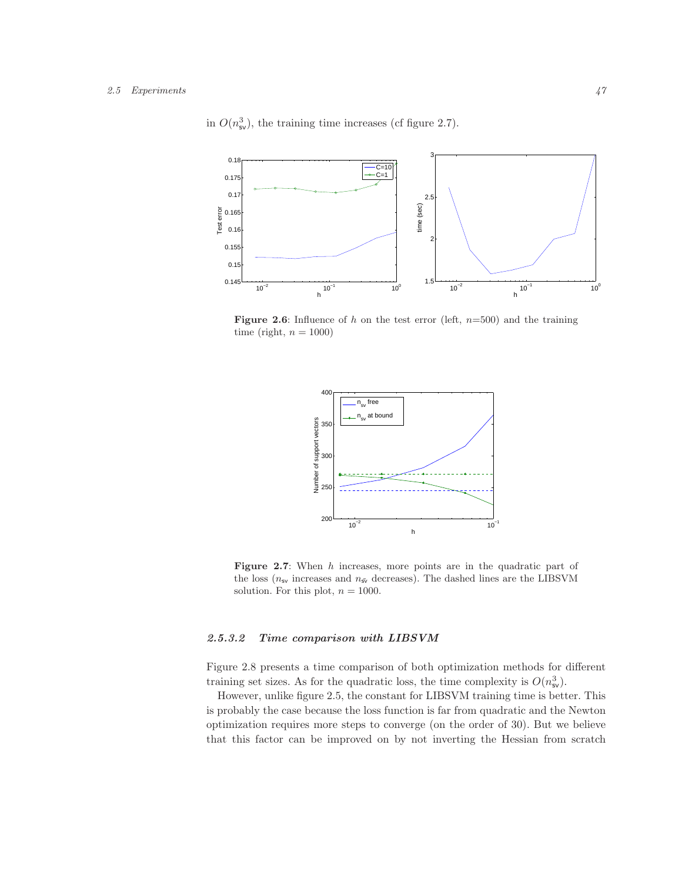

in  $O(n_{\rm sv}^3)$ , the training time increases (cf figure 2.7).

**Figure 2.6:** Influence of h on the test error (left,  $n=500$ ) and the training time (right,  $n = 1000$ )



Figure 2.7: When h increases, more points are in the quadratic part of the loss ( $n_{\rm sv}$  increases and  $n_{\rm sv}$  decreases). The dashed lines are the LIBSVM solution. For this plot,  $n = 1000$ .

## 2.5.3.2 Time comparison with LIBSVM

Figure 2.8 presents a time comparison of both optimization methods for different training set sizes. As for the quadratic loss, the time complexity is  $O(n_{\rm sv}^3)$ .

However, unlike figure 2.5, the constant for LIBSVM training time is better. This is probably the case because the loss function is far from quadratic and the Newton optimization requires more steps to converge (on the order of 30). But we believe that this factor can be improved on by not inverting the Hessian from scratch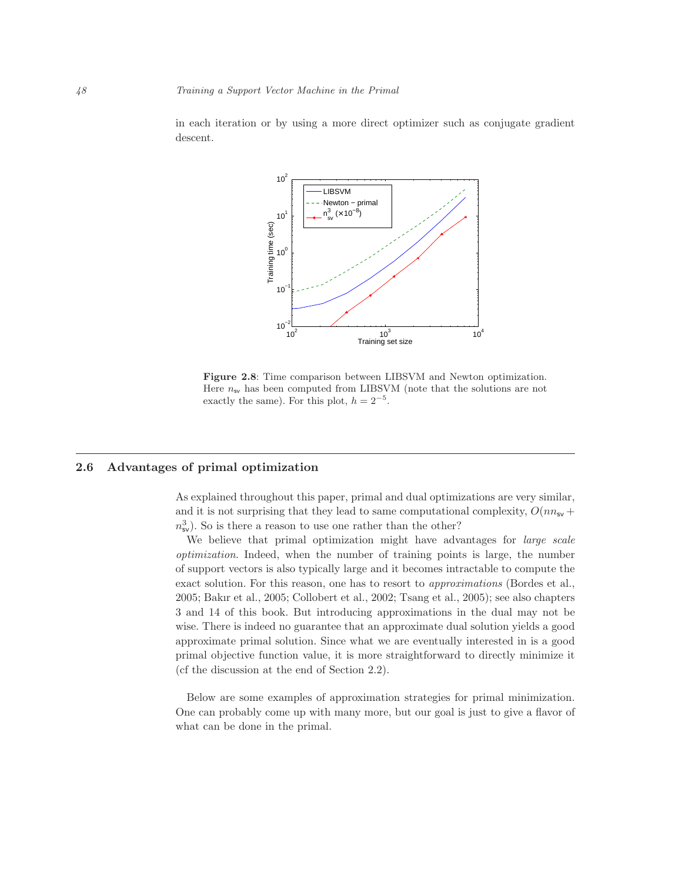

in each iteration or by using a more direct optimizer such as conjugate gradient descent.

Figure 2.8: Time comparison between LIBSVM and Newton optimization. Here  $n_{\rm sv}$  has been computed from LIBSVM (note that the solutions are not exactly the same). For this plot,  $h = 2^{-5}$ .

# 2.6 Advantages of primal optimization

As explained throughout this paper, primal and dual optimizations are very similar, and it is not surprising that they lead to same computational complexity,  $O(m_{\rm sv} +$  $n_{\rm sv}^3$ ). So is there a reason to use one rather than the other?

We believe that primal optimization might have advantages for *large scale* optimization. Indeed, when the number of training points is large, the number of support vectors is also typically large and it becomes intractable to compute the exact solution. For this reason, one has to resort to approximations (Bordes et al., 2005; Bakır et al., 2005; Collobert et al., 2002; Tsang et al., 2005); see also chapters 3 and 14 of this book. But introducing approximations in the dual may not be wise. There is indeed no guarantee that an approximate dual solution yields a good approximate primal solution. Since what we are eventually interested in is a good primal objective function value, it is more straightforward to directly minimize it (cf the discussion at the end of Section 2.2).

Below are some examples of approximation strategies for primal minimization. One can probably come up with many more, but our goal is just to give a flavor of what can be done in the primal.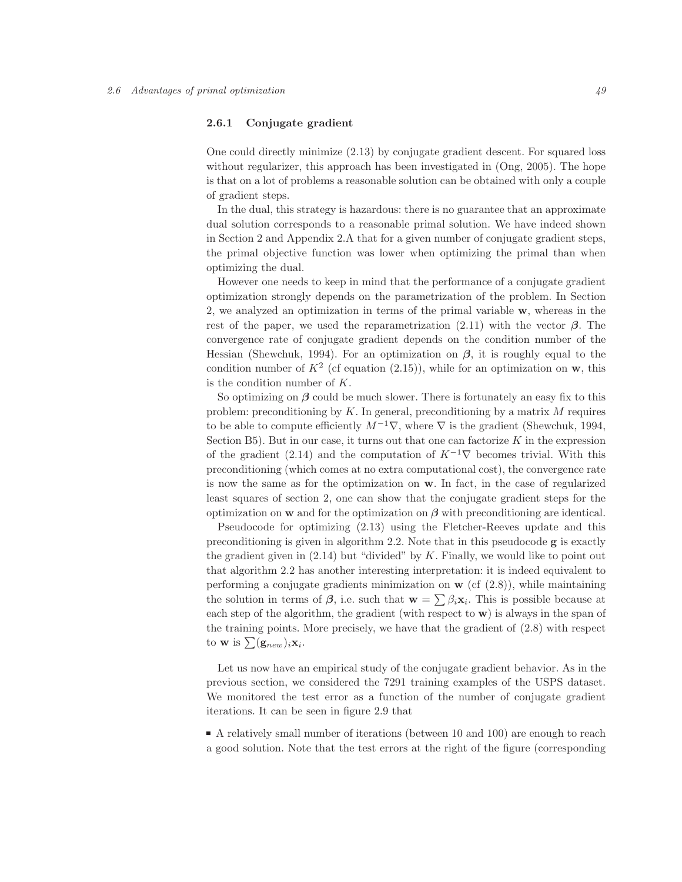## 2.6.1 Conjugate gradient

One could directly minimize (2.13) by conjugate gradient descent. For squared loss without regularizer, this approach has been investigated in (Ong, 2005). The hope is that on a lot of problems a reasonable solution can be obtained with only a couple of gradient steps.

In the dual, this strategy is hazardous: there is no guarantee that an approximate dual solution corresponds to a reasonable primal solution. We have indeed shown in Section 2 and Appendix 2.A that for a given number of conjugate gradient steps, the primal objective function was lower when optimizing the primal than when optimizing the dual.

However one needs to keep in mind that the performance of a conjugate gradient optimization strongly depends on the parametrization of the problem. In Section 2, we analyzed an optimization in terms of the primal variable w, whereas in the rest of the paper, we used the reparametrization  $(2.11)$  with the vector  $\beta$ . The convergence rate of conjugate gradient depends on the condition number of the Hessian (Shewchuk, 1994). For an optimization on  $\beta$ , it is roughly equal to the condition number of  $K^2$  (cf equation (2.15)), while for an optimization on w, this is the condition number of K.

So optimizing on  $\beta$  could be much slower. There is fortunately an easy fix to this problem: preconditioning by K. In general, preconditioning by a matrix  $M$  requires to be able to compute efficiently  $M^{-1}\nabla$ , where  $\nabla$  is the gradient (Shewchuk, 1994, Section  $B5$ ). But in our case, it turns out that one can factorize  $K$  in the expression of the gradient (2.14) and the computation of  $K^{-1}\nabla$  becomes trivial. With this preconditioning (which comes at no extra computational cost), the convergence rate is now the same as for the optimization on w. In fact, in the case of regularized least squares of section 2, one can show that the conjugate gradient steps for the optimization on **w** and for the optimization on  $\beta$  with preconditioning are identical.

Pseudocode for optimizing (2.13) using the Fletcher-Reeves update and this preconditioning is given in algorithm 2.2. Note that in this pseudocode  $g$  is exactly the gradient given in  $(2.14)$  but "divided" by K. Finally, we would like to point out that algorithm 2.2 has another interesting interpretation: it is indeed equivalent to performing a conjugate gradients minimization on  $\bf{w}$  (cf  $(2.8)$ ), while maintaining the solution in terms of  $\beta$ , i.e. such that  $\mathbf{w} = \sum \beta_i \mathbf{x}_i$ . This is possible because at each step of the algorithm, the gradient (with respect to  $\bf{w}$ ) is always in the span of the training points. More precisely, we have that the gradient of (2.8) with respect to **w** is  $\sum_{i}(\mathbf{g}_{new})_i \mathbf{x}_i$ .

Let us now have an empirical study of the conjugate gradient behavior. As in the previous section, we considered the 7291 training examples of the USPS dataset. We monitored the test error as a function of the number of conjugate gradient iterations. It can be seen in figure 2.9 that

A relatively small number of iterations (between 10 and 100) are enough to reach a good solution. Note that the test errors at the right of the figure (corresponding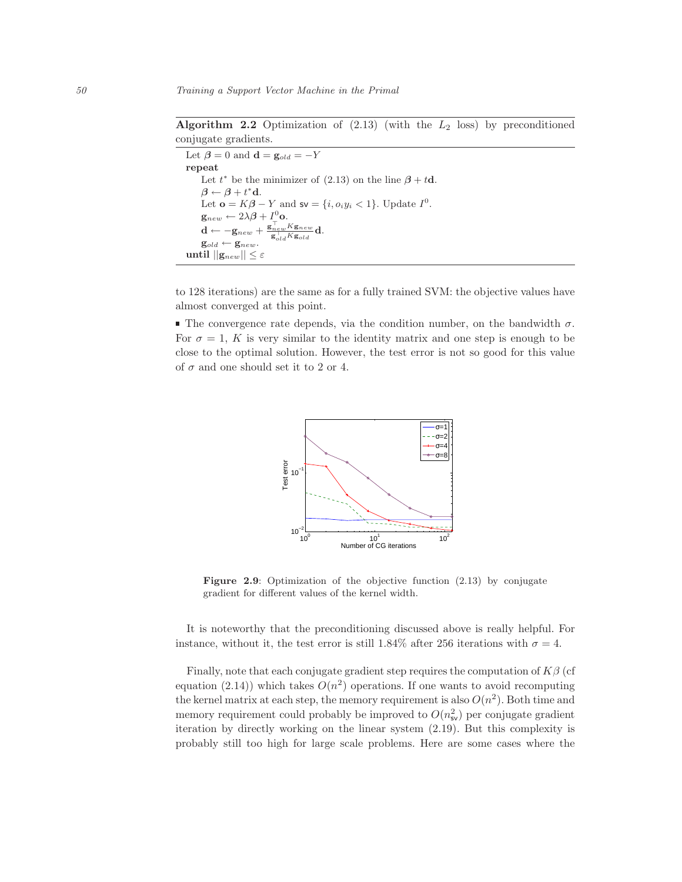Algorithm 2.2 Optimization of  $(2.13)$  (with the  $L_2$  loss) by preconditioned conjugate gradients.

Let  $\beta = 0$  and  $\mathbf{d} = \mathbf{g}_{old} = -Y$ repeat Let  $t^*$  be the minimizer of (2.13) on the line  $\beta + t\mathbf{d}$ .  $\beta \leftarrow \beta + t^* \mathbf{d}.$ Let **o** =  $K\beta - Y$  and **sv** = {*i*,  $o_i y_i < 1$ }. Update  $I^0$ .  $\mathbf{g}_{new} \leftarrow 2\lambda\boldsymbol{\beta} + I^0_{\perp} \mathbf{o}.$  $\mathbf{d} \leftarrow -\mathbf{g}_{new} + \frac{\mathbf{g}_{new}^\top K \mathbf{g}_{new}}{\sigma^\top K \mathbf{g}_{new}} \mathbf{d}.$  $\overline{\mathbf{g}_{old}^{\top} K \mathbf{g}_{old}}$  $\mathbf{g}_{old} \leftarrow \mathbf{g}_{new}.$ until  $||\mathbf{g}_{new}|| \leq \varepsilon$ 

to 128 iterations) are the same as for a fully trained SVM: the objective values have almost converged at this point.

The convergence rate depends, via the condition number, on the bandwidth  $\sigma$ . For  $\sigma = 1$ , K is very similar to the identity matrix and one step is enough to be close to the optimal solution. However, the test error is not so good for this value of  $\sigma$  and one should set it to 2 or 4.



Figure 2.9: Optimization of the objective function  $(2.13)$  by conjugate gradient for different values of the kernel width.

It is noteworthy that the preconditioning discussed above is really helpful. For instance, without it, the test error is still 1.84% after 256 iterations with  $\sigma = 4$ .

Finally, note that each conjugate gradient step requires the computation of  $K\beta$  (cf equation (2.14)) which takes  $O(n^2)$  operations. If one wants to avoid recomputing the kernel matrix at each step, the memory requirement is also  $O(n^2)$ . Both time and memory requirement could probably be improved to  $O(n_{\rm sv}^2)$  per conjugate gradient iteration by directly working on the linear system (2.19). But this complexity is probably still too high for large scale problems. Here are some cases where the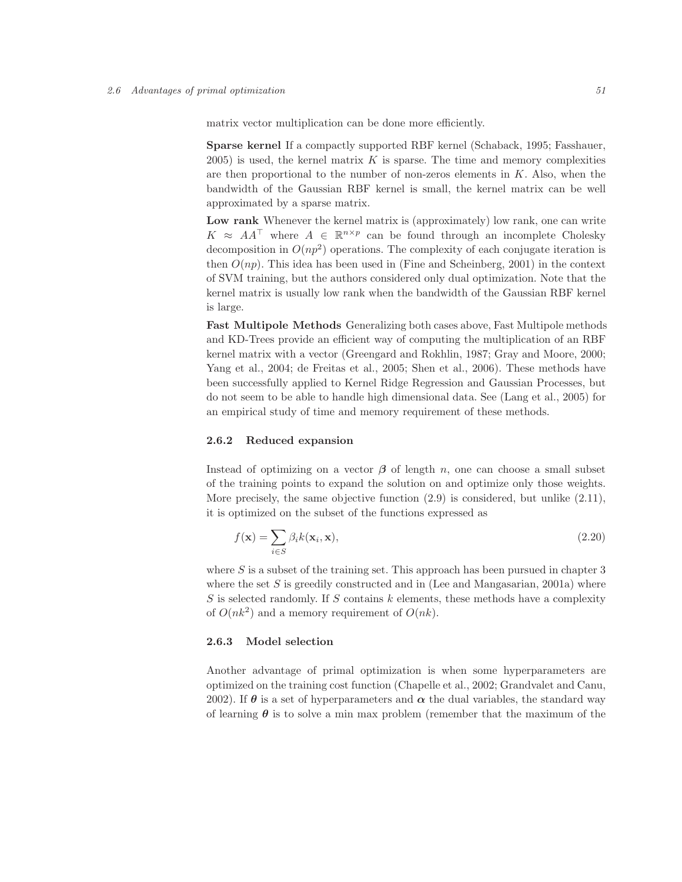matrix vector multiplication can be done more efficiently.

Sparse kernel If a compactly supported RBF kernel (Schaback, 1995; Fasshauer,  $2005$ ) is used, the kernel matrix K is sparse. The time and memory complexities are then proportional to the number of non-zeros elements in  $K$ . Also, when the bandwidth of the Gaussian RBF kernel is small, the kernel matrix can be well approximated by a sparse matrix.

Low rank Whenever the kernel matrix is (approximately) low rank, one can write  $K \approx AA^{\top}$  where  $A \in \mathbb{R}^{n \times p}$  can be found through an incomplete Cholesky decomposition in  $O(np^2)$  operations. The complexity of each conjugate iteration is then  $O(np)$ . This idea has been used in (Fine and Scheinberg, 2001) in the context of SVM training, but the authors considered only dual optimization. Note that the kernel matrix is usually low rank when the bandwidth of the Gaussian RBF kernel is large.

Fast Multipole Methods Generalizing both cases above, Fast Multipole methods and KD-Trees provide an efficient way of computing the multiplication of an RBF kernel matrix with a vector (Greengard and Rokhlin, 1987; Gray and Moore, 2000; Yang et al., 2004; de Freitas et al., 2005; Shen et al., 2006). These methods have been successfully applied to Kernel Ridge Regression and Gaussian Processes, but do not seem to be able to handle high dimensional data. See (Lang et al., 2005) for an empirical study of time and memory requirement of these methods.

## 2.6.2 Reduced expansion

Instead of optimizing on a vector  $\beta$  of length n, one can choose a small subset of the training points to expand the solution on and optimize only those weights. More precisely, the same objective function  $(2.9)$  is considered, but unlike  $(2.11)$ , it is optimized on the subset of the functions expressed as

$$
f(\mathbf{x}) = \sum_{i \in S} \beta_i k(\mathbf{x}_i, \mathbf{x}),
$$
\n(2.20)

where  $S$  is a subset of the training set. This approach has been pursued in chapter 3 where the set S is greedily constructed and in (Lee and Mangasarian, 2001a) where S is selected randomly. If S contains  $k$  elements, these methods have a complexity of  $O(nk^2)$  and a memory requirement of  $O(nk)$ .

## 2.6.3 Model selection

Another advantage of primal optimization is when some hyperparameters are optimized on the training cost function (Chapelle et al., 2002; Grandvalet and Canu, 2002). If  $\theta$  is a set of hyperparameters and  $\alpha$  the dual variables, the standard way of learning  $\theta$  is to solve a min max problem (remember that the maximum of the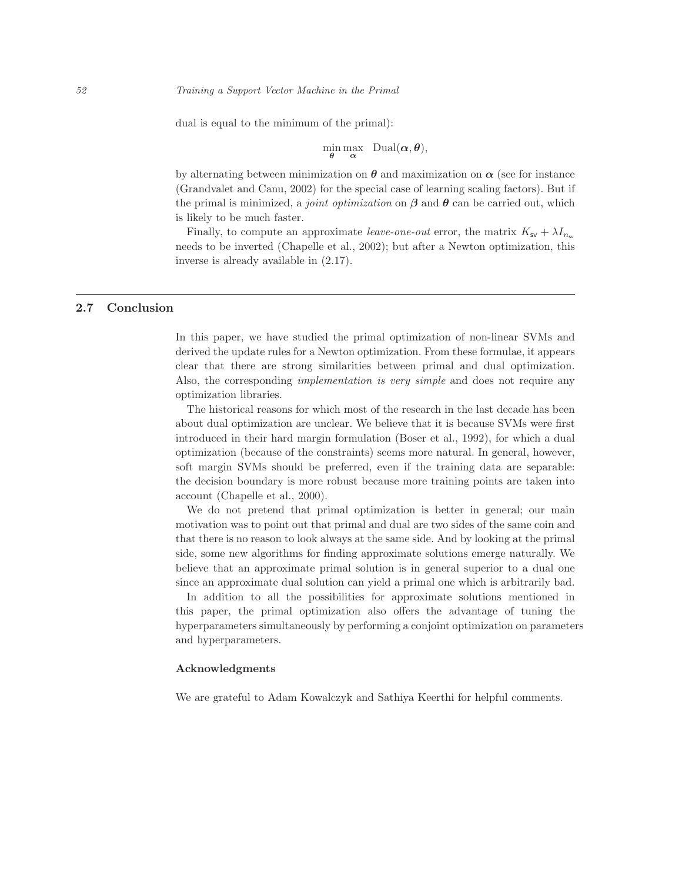dual is equal to the minimum of the primal):

$$
\min_{\theta} \max_{\alpha} \quad \text{Dual}(\alpha, \theta),
$$

by alternating between minimization on  $\theta$  and maximization on  $\alpha$  (see for instance (Grandvalet and Canu, 2002) for the special case of learning scaling factors). But if the primal is minimized, a *joint optimization* on  $\beta$  and  $\theta$  can be carried out, which is likely to be much faster.

Finally, to compute an approximate leave-one-out error, the matrix  $K_{\rm sv} + \lambda I_{n_{\rm sv}}$ needs to be inverted (Chapelle et al., 2002); but after a Newton optimization, this inverse is already available in (2.17).

## 2.7 Conclusion

In this paper, we have studied the primal optimization of non-linear SVMs and derived the update rules for a Newton optimization. From these formulae, it appears clear that there are strong similarities between primal and dual optimization. Also, the corresponding *implementation is very simple* and does not require any optimization libraries.

The historical reasons for which most of the research in the last decade has been about dual optimization are unclear. We believe that it is because SVMs were first introduced in their hard margin formulation (Boser et al., 1992), for which a dual optimization (because of the constraints) seems more natural. In general, however, soft margin SVMs should be preferred, even if the training data are separable: the decision boundary is more robust because more training points are taken into account (Chapelle et al., 2000).

We do not pretend that primal optimization is better in general; our main motivation was to point out that primal and dual are two sides of the same coin and that there is no reason to look always at the same side. And by looking at the primal side, some new algorithms for finding approximate solutions emerge naturally. We believe that an approximate primal solution is in general superior to a dual one since an approximate dual solution can yield a primal one which is arbitrarily bad.

In addition to all the possibilities for approximate solutions mentioned in this paper, the primal optimization also offers the advantage of tuning the hyperparameters simultaneously by performing a conjoint optimization on parameters and hyperparameters.

#### Acknowledgments

We are grateful to Adam Kowalczyk and Sathiya Keerthi for helpful comments.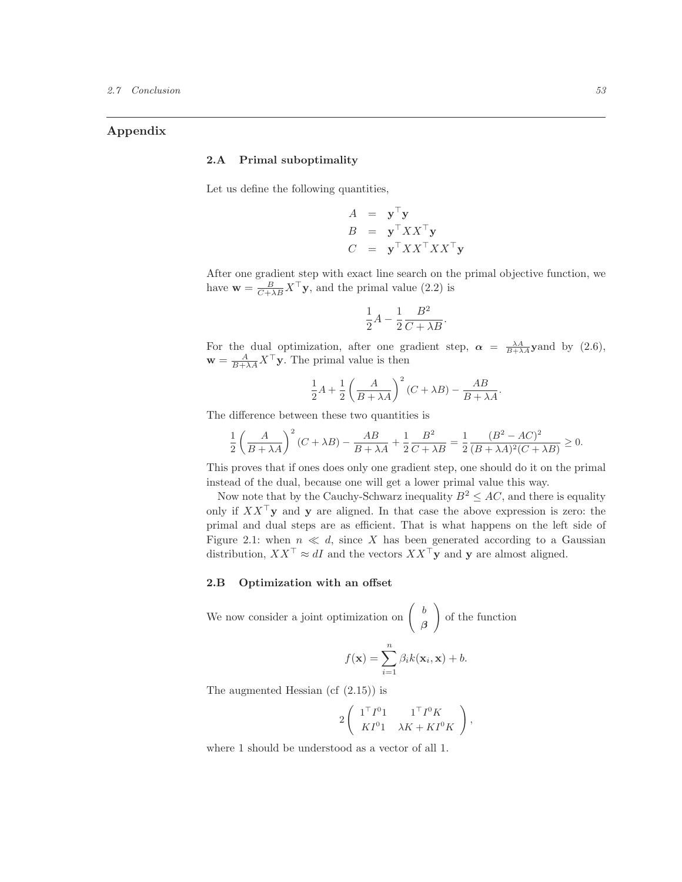## Appendix

## 2.A Primal suboptimality

Let us define the following quantities,

$$
A = \mathbf{y}^{\top} \mathbf{y}
$$
  
\n
$$
B = \mathbf{y}^{\top} X X^{\top} \mathbf{y}
$$
  
\n
$$
C = \mathbf{y}^{\top} X X^{\top} X X^{\top} \mathbf{y}
$$

After one gradient step with exact line search on the primal objective function, we have  $\mathbf{w} = \frac{B}{C + \lambda B} X^{\top} \mathbf{y}$ , and the primal value (2.2) is

$$
\frac{1}{2}A - \frac{1}{2}\frac{B^2}{C + \lambda B}.
$$

For the dual optimization, after one gradient step,  $\alpha = \frac{\lambda A}{B+\lambda A}$  yand by (2.6),  $\mathbf{w} = \frac{A}{B + \lambda A} X^{\top} \mathbf{y}$ . The primal value is then

$$
\frac{1}{2}A + \frac{1}{2}\left(\frac{A}{B + \lambda A}\right)^2 (C + \lambda B) - \frac{AB}{B + \lambda A}.
$$

The difference between these two quantities is

$$
\frac{1}{2} \left( \frac{A}{B + \lambda A} \right)^2 (C + \lambda B) - \frac{AB}{B + \lambda A} + \frac{1}{2} \frac{B^2}{C + \lambda B} = \frac{1}{2} \frac{(B^2 - AC)^2}{(B + \lambda A)^2 (C + \lambda B)} \ge 0.
$$

This proves that if ones does only one gradient step, one should do it on the primal instead of the dual, because one will get a lower primal value this way.

Now note that by the Cauchy-Schwarz inequality  $B^2 \leq AC$ , and there is equality only if  $XX^{\top}$ y and y are aligned. In that case the above expression is zero: the primal and dual steps are as efficient. That is what happens on the left side of Figure 2.1: when  $n \ll d$ , since X has been generated according to a Gaussian distribution,  $XX^{\top} \approx dI$  and the vectors  $XX^{\top}$ y and y are almost aligned.

# 2.B Optimization with an offset

We now consider a joint optimization on 
$$
\begin{pmatrix} b \\ \beta \end{pmatrix}
$$
 of the function  

$$
f(\mathbf{x}) = \sum_{i=1}^{n} \beta_i k(\mathbf{x}_i, \mathbf{x}) + b.
$$

The augmented Hessian (cf  $(2.15)$ ) is

$$
2\left(\begin{array}{cc} \mathbf{1}^\top I^0\mathbf{1} & \mathbf{1}^\top I^0 K \\ K I^0\mathbf{1} & \lambda K+KI^0 K\end{array}\right),
$$

where 1 should be understood as a vector of all 1.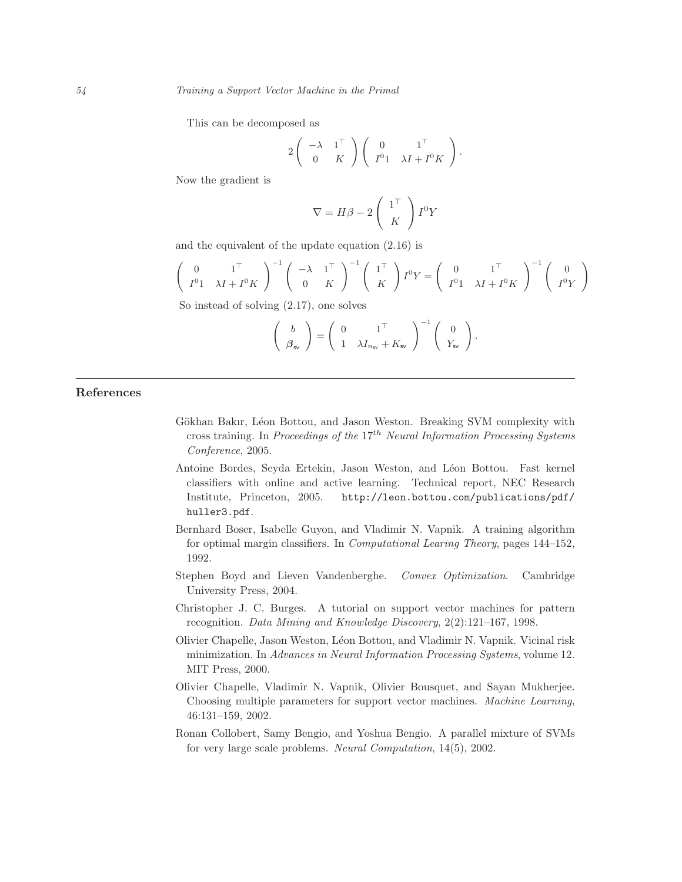This can be decomposed as

$$
2\left(\begin{array}{cc} -\lambda & 1^{\top} \\ 0 & K \end{array}\right)\left(\begin{array}{cc} 0 & 1^{\top} \\ I^{0}1 & \lambda I + I^{0}K \end{array}\right).
$$

Now the gradient is

$$
\nabla = H\beta - 2\left(\begin{array}{c} 1^{\mathsf{T}} \\ K \end{array}\right)I^{0}Y
$$

and the equivalent of the update equation (2.16) is

$$
\begin{pmatrix} 0 & 1^{\top} \\ I^0 1 & \lambda I + I^0 K \end{pmatrix}^{-1} \begin{pmatrix} -\lambda & 1^{\top} \\ 0 & K \end{pmatrix}^{-1} \begin{pmatrix} 1^{\top} \\ K \end{pmatrix} I^0 Y = \begin{pmatrix} 0 & 1^{\top} \\ I^0 1 & \lambda I + I^0 K \end{pmatrix}^{-1} \begin{pmatrix} 0 \\ I^0 Y \end{pmatrix}
$$

So instead of solving (2.17), one solves

$$
\left(\begin{array}{c}b\\ \beta_{\mathsf{sv}}\end{array}\right)=\left(\begin{array}{cc}0&1^{\top}\\ 1&\lambda I_{n_{\mathsf{sv}}}+K_{\mathsf{sv}}\end{array}\right)^{-1}\left(\begin{array}{c}0\\ Y_{\mathsf{sv}}\end{array}\right).
$$

# References

- Gökhan Bakır, Léon Bottou, and Jason Weston. Breaking SVM complexity with cross training. In Proceedings of the  $17^{th}$  Neural Information Processing Systems Conference, 2005.
- Antoine Bordes, Seyda Ertekin, Jason Weston, and Léon Bottou. Fast kernel classifiers with online and active learning. Technical report, NEC Research Institute, Princeton, 2005. http://leon.bottou.com/publications/pdf/ huller3.pdf.
- Bernhard Boser, Isabelle Guyon, and Vladimir N. Vapnik. A training algorithm for optimal margin classifiers. In Computational Learing Theory, pages 144–152, 1992.
- Stephen Boyd and Lieven Vandenberghe. Convex Optimization. Cambridge University Press, 2004.
- Christopher J. C. Burges. A tutorial on support vector machines for pattern recognition. Data Mining and Knowledge Discovery, 2(2):121–167, 1998.
- Olivier Chapelle, Jason Weston, L´eon Bottou, and Vladimir N. Vapnik. Vicinal risk minimization. In Advances in Neural Information Processing Systems, volume 12. MIT Press, 2000.
- Olivier Chapelle, Vladimir N. Vapnik, Olivier Bousquet, and Sayan Mukherjee. Choosing multiple parameters for support vector machines. Machine Learning, 46:131–159, 2002.
- Ronan Collobert, Samy Bengio, and Yoshua Bengio. A parallel mixture of SVMs for very large scale problems. Neural Computation, 14(5), 2002.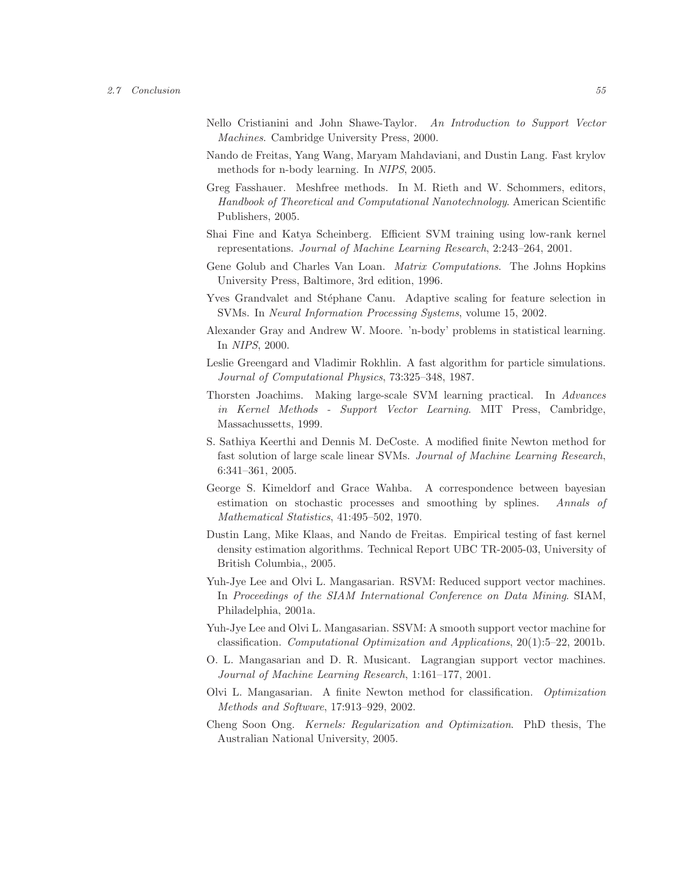- Nello Cristianini and John Shawe-Taylor. An Introduction to Support Vector Machines. Cambridge University Press, 2000.
- Nando de Freitas, Yang Wang, Maryam Mahdaviani, and Dustin Lang. Fast krylov methods for n-body learning. In NIPS, 2005.
- Greg Fasshauer. Meshfree methods. In M. Rieth and W. Schommers, editors, Handbook of Theoretical and Computational Nanotechnology. American Scientific Publishers, 2005.
- Shai Fine and Katya Scheinberg. Efficient SVM training using low-rank kernel representations. Journal of Machine Learning Research, 2:243–264, 2001.
- Gene Golub and Charles Van Loan. Matrix Computations. The Johns Hopkins University Press, Baltimore, 3rd edition, 1996.
- Yves Grandvalet and Stéphane Canu. Adaptive scaling for feature selection in SVMs. In Neural Information Processing Systems, volume 15, 2002.
- Alexander Gray and Andrew W. Moore. 'n-body' problems in statistical learning. In NIPS, 2000.
- Leslie Greengard and Vladimir Rokhlin. A fast algorithm for particle simulations. Journal of Computational Physics, 73:325–348, 1987.
- Thorsten Joachims. Making large-scale SVM learning practical. In Advances in Kernel Methods - Support Vector Learning. MIT Press, Cambridge, Massachussetts, 1999.
- S. Sathiya Keerthi and Dennis M. DeCoste. A modified finite Newton method for fast solution of large scale linear SVMs. Journal of Machine Learning Research, 6:341–361, 2005.
- George S. Kimeldorf and Grace Wahba. A correspondence between bayesian estimation on stochastic processes and smoothing by splines. Annals of Mathematical Statistics, 41:495–502, 1970.
- Dustin Lang, Mike Klaas, and Nando de Freitas. Empirical testing of fast kernel density estimation algorithms. Technical Report UBC TR-2005-03, University of British Columbia,, 2005.
- Yuh-Jye Lee and Olvi L. Mangasarian. RSVM: Reduced support vector machines. In Proceedings of the SIAM International Conference on Data Mining. SIAM, Philadelphia, 2001a.
- Yuh-Jye Lee and Olvi L. Mangasarian. SSVM: A smooth support vector machine for classification. Computational Optimization and Applications, 20(1):5–22, 2001b.
- O. L. Mangasarian and D. R. Musicant. Lagrangian support vector machines. Journal of Machine Learning Research, 1:161–177, 2001.
- Olvi L. Mangasarian. A finite Newton method for classification. Optimization Methods and Software, 17:913–929, 2002.
- Cheng Soon Ong. Kernels: Regularization and Optimization. PhD thesis, The Australian National University, 2005.